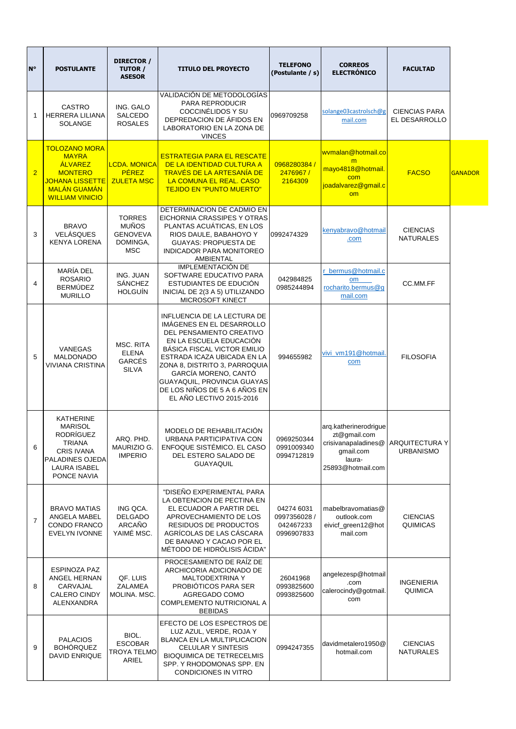| <b>N°</b>      | <b>POSTULANTE</b>                                                                                                                                            | DIRECTOR /<br>TUTOR /<br><b>ASESOR</b>                                     | <b>TITULO DEL PROYECTO</b>                                                                                                                                                                                                                                                                                                                       | <b>TELEFONO</b><br>(Postulante / s)                   | <b>CORREOS</b><br><b>ELECTRÓNICO</b>                                                                     | <b>FACULTAD</b>                           |                |
|----------------|--------------------------------------------------------------------------------------------------------------------------------------------------------------|----------------------------------------------------------------------------|--------------------------------------------------------------------------------------------------------------------------------------------------------------------------------------------------------------------------------------------------------------------------------------------------------------------------------------------------|-------------------------------------------------------|----------------------------------------------------------------------------------------------------------|-------------------------------------------|----------------|
| 1              | <b>CASTRO</b><br><b>HERRERA LILIANA</b><br><b>SOLANGE</b>                                                                                                    | ING. GALO<br><b>SALCEDO</b><br><b>ROSALES</b>                              | VALIDACIÓN DE METODOLOGÍAS<br><b>PARA REPRODUCIR</b><br>COCCINÉLIDOS Y SU<br>DEPREDACION DE ÁFIDOS EN<br>LABORATORIO EN LA ZONA DE<br><b>VINCES</b>                                                                                                                                                                                              | 0969709258                                            | solange03castrolsch@g<br>mail.com                                                                        | <b>CIENCIAS PARA</b><br>EL DESARROLLO     |                |
| $\overline{2}$ | <b>TOLOZANO MORA</b><br><b>MAYRA</b><br><b>ÁLVAREZ</b><br><b>MONTERO</b><br><b>JOHANA LISSETTE</b><br><b>MALÁN GUAMÁN</b><br><b>WILLIAM VINICIO</b>          | <b>LCDA. MONICA</b><br><b>PÉREZ</b><br><b>ZULETA MSC</b>                   | <b>ESTRATEGIA PARA EL RESCATE</b><br>DE LA IDENTIDAD CULTURA A<br><b>TRAVÉS DE LA ARTESANÍA DE</b><br>LA COMUNA EL REAL. CASO<br><b>TEJIDO EN "PUNTO MUERTO"</b>                                                                                                                                                                                 | 0968280384 /<br>2476967 /<br>2164309                  | wymalan@hotmail.co<br>m<br>mayo4818@hotmail.<br>com<br>joadalvarez@gmail.c<br>om                         | <b>FACSO</b>                              | <b>GANADOR</b> |
| 3              | <b>BRAVO</b><br><b>VELÁSQUES</b><br><b>KENYA LORENA</b>                                                                                                      | <b>TORRES</b><br><b>MUÑOS</b><br><b>GENOVEVA</b><br>DOMINGA,<br><b>MSC</b> | DETERMINACION DE CADMIO EN<br>EICHORNIA CRASSIPES Y OTRAS<br>PLANTAS ACUÁTICAS, EN LOS<br>RIOS DAULE, BABAHOYO Y<br><b>GUAYAS: PROPUESTA DE</b><br><b>INDICADOR PARA MONITOREO</b><br><b>AMBIENTAL</b>                                                                                                                                           | 0992474329                                            | kenyabravo@hotmail<br>.com                                                                               | <b>CIENCIAS</b><br><b>NATURALES</b>       |                |
| 4              | <b>MARÍA DEL</b><br><b>ROSARIO</b><br><b>BERMÚDEZ</b><br><b>MURILLO</b>                                                                                      | ING. JUAN<br><b>SÁNCHEZ</b><br><b>HOLGUÍN</b>                              | <b>IMPLEMENTACIÓN DE</b><br>SOFTWARE EDUCATIVO PARA<br>ESTUDIANTES DE EDUCIÓN<br>INICIAL DE 2(3 A 5) UTILIZANDO<br>MICROSOFT KINECT                                                                                                                                                                                                              | 042984825<br>0985244894                               | r_bermus@hotmail.c<br><b>om</b><br>rocharito.bermus@g<br>mail.com                                        | CC.MM.FF                                  |                |
| 5              | <b>VANEGAS</b><br><b>MALDONADO</b><br><b>VIVIANA CRISTINA</b>                                                                                                | MSC. RITA<br><b>ELENA</b><br><b>GARCÉS</b><br><b>SILVA</b>                 | INFLUENCIA DE LA LECTURA DE<br>IMÁGENES EN EL DESARROLLO<br>DEL PENSAMIENTO CREATIVO<br>EN LA ESCUELA EDUCACIÓN<br><b>BÁSICA FISCAL VICTOR EMILIO</b><br>ESTRADA ICAZA UBICADA EN LA<br>ZONA 8, DISTRITO 3, PARROQUIA<br>GARCÍA MORENO, CANTÓ<br><b>GUAYAQUIL, PROVINCIA GUAYAS</b><br>DE LOS NIÑOS DE 5 A 6 AÑOS EN<br>EL AÑO LECTIVO 2015-2016 | 994655982                                             | vivi_vm191@hotmail.<br>com                                                                               | <b>FILOSOFIA</b>                          |                |
| 6              | <b>KATHERINE</b><br><b>MARISOL</b><br><b>RODRÍGUEZ</b><br><b>TRIANA</b><br><b>CRIS IVANA</b><br><b>PALADINES OJEDA</b><br><b>LAURA ISABEL</b><br>PONCE NAVIA | ARQ. PHD.<br>MAURIZIO G.<br><b>IMPERIO</b>                                 | MODELO DE REHABILITACIÓN<br>URBANA PARTICIPATIVA CON<br><b>ENFOQUE SISTÉMICO. EL CASO</b><br>DEL ESTERO SALADO DE<br><b>GUAYAQUIL</b>                                                                                                                                                                                                            | 0969250344<br>0991009340<br>0994712819                | arq.katherinerodrigue<br>zt@gmail.com<br>crisivanapaladines@<br>gmail.com<br>laura-<br>25893@hotmail.com | <b>ARQUITECTURA Y</b><br><b>URBANISMO</b> |                |
| $\overline{7}$ | <b>BRAVO MATIAS</b><br><b>ANGELA MABEL</b><br><b>CONDO FRANCO</b><br><b>EVELYN IVONNE</b>                                                                    | ING QCA.<br><b>DELGADO</b><br>ARCAÑO<br>YAIMÉ MSC.                         | "DISEÑO EXPERIMENTAL PARA<br>LA OBTENCION DE PECTINA EN<br>EL ECUADOR A PARTIR DEL<br>APROVECHAMIENTO DE LOS<br><b>RESIDUOS DE PRODUCTOS</b><br>AGRÍCOLAS DE LAS CÁSCARA<br>DE BANANO Y CACAO POR EL<br>MÉTODO DE HIDRÓLISIS ÁCIDA"                                                                                                              | 04274 6031<br>0997356028 /<br>042467233<br>0996907833 | mabelbravomatias@<br>outlook.com<br>eivicf_green12@hot<br>mail.com                                       | <b>CIENCIAS</b><br><b>QUIMICAS</b>        |                |
| 8              | <b>ESPINOZA PAZ</b><br><b>ANGEL HERNAN</b><br>CARVAJAL<br><b>CALERO CINDY</b><br>ALENXANDRA                                                                  | QF. LUIS<br><b>ZALAMEA</b><br>MOLINA. MSC.                                 | PROCESAMIENTO DE RAÍZ DE<br>ARCHICORIA ADICIONADO DE<br><b>MALTODEXTRINA Y</b><br>PROBIÓTICOS PARA SER<br>AGREGADO COMO<br>COMPLEMENTO NUTRICIONAL A<br><b>BEBIDAS</b>                                                                                                                                                                           | 26041968<br>0993825600<br>0993825600                  | angelezesp@hotmail<br>.com<br>calerocindy@gotmail.<br>com                                                | <b>INGENIERIA</b><br><b>QUIMICA</b>       |                |
| 9              | <b>PALACIOS</b><br><b>BOHÓRQUEZ</b><br><b>DAVID ENRIQUE</b>                                                                                                  | BIOL.<br><b>ESCOBAR</b><br>TROYA TELMO<br><b>ARIEL</b>                     | EFECTO DE LOS ESPECTROS DE<br>LUZ AZUL, VERDE, ROJA Y<br><b>BLANCA EN LA MULTIPLICACION</b><br><b>CELULAR Y SINTESIS</b><br><b>BIOQUIMICA DE TETRECELMIS</b><br>SPP. Y RHODOMONAS SPP. EN<br><b>CONDICIONES IN VITRO</b>                                                                                                                         | 0994247355                                            | davidmetalero1950@<br>hotmail.com                                                                        | <b>CIENCIAS</b><br><b>NATURALES</b>       |                |